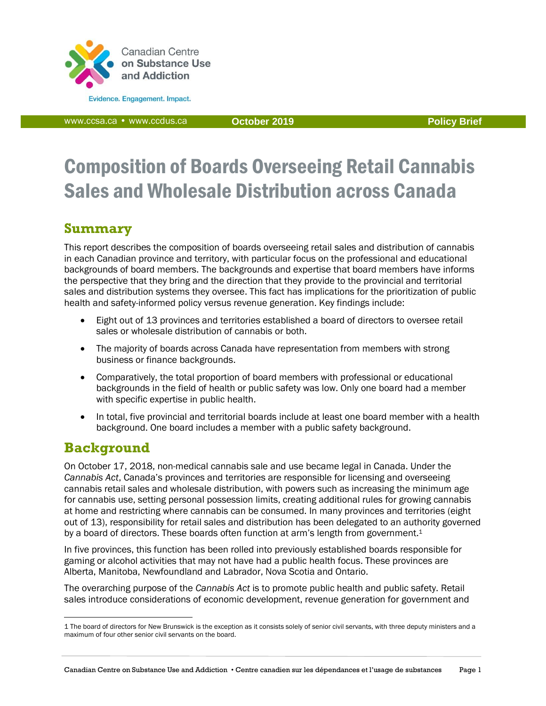

Evidence. Engagement. Impact.

[www.ccsa.ca](http://www.ccsa.ca/) • www.ccdus.ca **October 2019 Policy Brief**

# Composition of Boards Overseeing Retail Cannabis Sales and Wholesale Distribution across Canada

# **Summary**

This report describes the composition of boards overseeing retail sales and distribution of cannabis in each Canadian province and territory, with particular focus on the professional and educational backgrounds of board members. The backgrounds and expertise that board members have informs the perspective that they bring and the direction that they provide to the provincial and territorial sales and distribution systems they oversee. This fact has implications for the prioritization of public health and safety-informed policy versus revenue generation. Key findings include:

- Eight out of 13 provinces and territories established a board of directors to oversee retail sales or wholesale distribution of cannabis or both.
- The majority of boards across Canada have representation from members with strong business or finance backgrounds.
- Comparatively, the total proportion of board members with professional or educational backgrounds in the field of health or public safety was low. Only one board had a member with specific expertise in public health.
- In total, five provincial and territorial boards include at least one board member with a health background. One board includes a member with a public safety background.

# **Background**

 $\overline{a}$ 

On October 17, 2018, non-medical cannabis sale and use became legal in Canada. Under the *Cannabis Act*, Canada's provinces and territories are responsible for licensing and overseeing cannabis retail sales and wholesale distribution, with powers such as increasing the minimum age for cannabis use, setting personal possession limits, creating additional rules for growing cannabis at home and restricting where cannabis can be consumed. In many provinces and territories (eight out of 13), responsibility for retail sales and distribution has been delegated to an authority governed by a board of directors. These boards often function at arm's length from government.<sup>1</sup>

In five provinces, this function has been rolled into previously established boards responsible for gaming or alcohol activities that may not have had a public health focus. These provinces are Alberta, Manitoba, Newfoundland and Labrador, Nova Scotia and Ontario.

The overarching purpose of the *Cannabis Act* is to promote public health and public safety. Retail sales introduce considerations of economic development, revenue generation for government and

<sup>1</sup> The board of directors for New Brunswick is the exception as it consists solely of senior civil servants, with three deputy ministers and a maximum of four other senior civil servants on the board.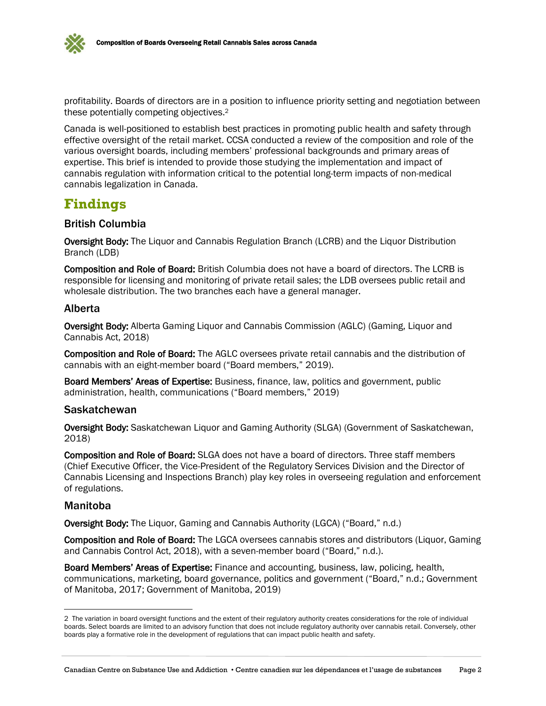profitability. Boards of directors are in a position to influence priority setting and negotiation between these potentially competing objectives.<sup>2</sup>

Canada is well-positioned to establish best practices in promoting public health and safety through effective oversight of the retail market. CCSA conducted a review of the composition and role of the various oversight boards, including members' professional backgrounds and primary areas of expertise. This brief is intended to provide those studying the implementation and impact of cannabis regulation with information critical to the potential long-term impacts of non-medical cannabis legalization in Canada.

### **Findings**

#### British Columbia

Oversight Body: The Liquor and Cannabis Regulation Branch (LCRB) and the Liquor Distribution Branch (LDB)

Composition and Role of Board: British Columbia does not have a board of directors. The LCRB is responsible for licensing and monitoring of private retail sales; the LDB oversees public retail and wholesale distribution. The two branches each have a general manager.

#### Alberta

Oversight Body: Alberta Gaming Liquor and Cannabis Commission (AGLC) (Gaming, Liquor and Cannabis Act, 2018)

Composition and Role of Board: The AGLC oversees private retail cannabis and the distribution of cannabis with an eight-member board ("Board members," 2019).

Board Members' Areas of Expertise: Business, finance, law, politics and government, public administration, health, communications ("Board members," 2019)

#### Saskatchewan

Oversight Body: Saskatchewan Liquor and Gaming Authority (SLGA) (Government of Saskatchewan, 2018)

Composition and Role of Board: SLGA does not have a board of directors. Three staff members (Chief Executive Officer, the Vice-President of the Regulatory Services Division and the Director of Cannabis Licensing and Inspections Branch) play key roles in overseeing regulation and enforcement of regulations.

#### Manitoba

 $\overline{a}$ 

Oversight Body: The Liquor, Gaming and Cannabis Authority (LGCA) ("Board," n.d.)

Composition and Role of Board: The LGCA oversees cannabis stores and distributors (Liquor, Gaming and Cannabis Control Act, 2018), with a seven-member board ("Board," n.d.).

Board Members' Areas of Expertise: Finance and accounting, business, law, policing, health, communications, marketing, board governance, politics and government ("Board," n.d.; Government of Manitoba, 2017; Government of Manitoba, 2019)

<sup>2</sup> The variation in board oversight functions and the extent of their regulatory authority creates considerations for the role of individual boards. Select boards are limited to an advisory function that does not include regulatory authority over cannabis retail. Conversely, other boards play a formative role in the development of regulations that can impact public health and safety.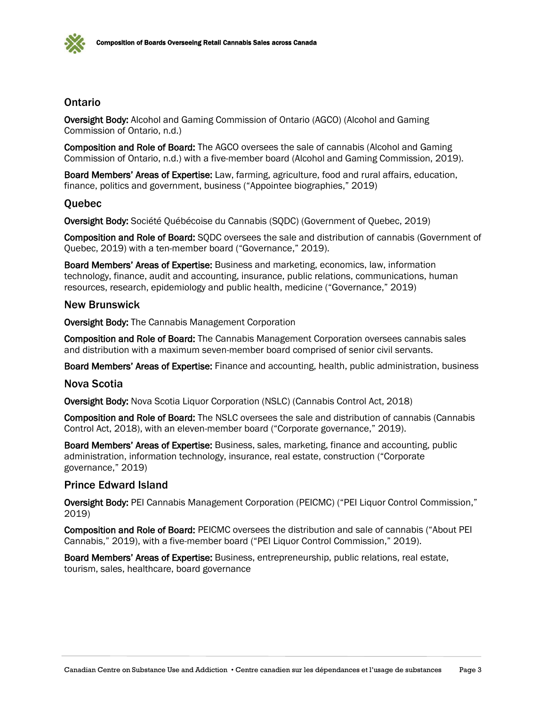

#### **Ontario**

Oversight Body: Alcohol and Gaming Commission of Ontario (AGCO) (Alcohol and Gaming Commission of Ontario, n.d.)

Composition and Role of Board: The AGCO oversees the sale of cannabis (Alcohol and Gaming Commission of Ontario, n.d.) with a five-member board (Alcohol and Gaming Commission, 2019).

Board Members' Areas of Expertise: Law, farming, agriculture, food and rural affairs, education, finance, politics and government, business ("Appointee biographies," 2019)

#### **Ouebec**

Oversight Body: Société Québécoise du Cannabis (SQDC) (Government of Quebec, 2019)

Composition and Role of Board: SQDC oversees the sale and distribution of cannabis (Government of Quebec, 2019) with a ten-member board ("Governance," 2019).

Board Members' Areas of Expertise: Business and marketing, economics, law, information technology, finance, audit and accounting, insurance, public relations, communications, human resources, research, epidemiology and public health, medicine ("Governance," 2019)

#### New Brunswick

Oversight Body: The Cannabis Management Corporation

Composition and Role of Board: The Cannabis Management Corporation oversees cannabis sales and distribution with a maximum seven-member board comprised of senior civil servants.

Board Members' Areas of Expertise: Finance and accounting, health, public administration, business

#### Nova Scotia

Oversight Body: Nova Scotia Liquor Corporation (NSLC) (Cannabis Control Act, 2018)

Composition and Role of Board: The NSLC oversees the sale and distribution of cannabis (Cannabis Control Act, 2018), with an eleven-member board ("Corporate governance," 2019).

Board Members' Areas of Expertise: Business, sales, marketing, finance and accounting, public administration, information technology, insurance, real estate, construction ("Corporate governance," 2019)

#### Prince Edward Island

Oversight Body: PEI Cannabis Management Corporation (PEICMC) ("PEI Liquor Control Commission," 2019)

Composition and Role of Board: PEICMC oversees the distribution and sale of cannabis ("About PEI Cannabis," 2019), with a five-member board ("PEI Liquor Control Commission," 2019).

Board Members' Areas of Expertise: Business, entrepreneurship, public relations, real estate, tourism, sales, healthcare, board governance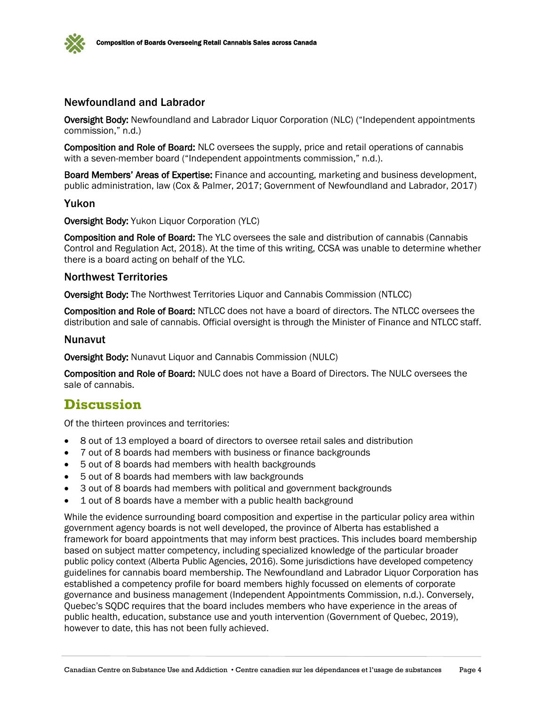

#### Newfoundland and Labrador

Oversight Body: Newfoundland and Labrador Liquor Corporation (NLC) ("Independent appointments commission," n.d.)

Composition and Role of Board: NLC oversees the supply, price and retail operations of cannabis with a seven-member board ("Independent appointments commission," n.d.).

Board Members' Areas of Expertise: Finance and accounting, marketing and business development, public administration, law (Cox & Palmer, 2017; Government of Newfoundland and Labrador, 2017)

#### Yukon

Oversight Body: Yukon Liquor Corporation (YLC)

Composition and Role of Board: The YLC oversees the sale and distribution of cannabis (Cannabis Control and Regulation Act, 2018). At the time of this writing, CCSA was unable to determine whether there is a board acting on behalf of the YLC.

#### Northwest Territories

Oversight Body: The Northwest Territories Liquor and Cannabis Commission (NTLCC)

Composition and Role of Board: NTLCC does not have a board of directors. The NTLCC oversees the distribution and sale of cannabis. Official oversight is through the Minister of Finance and NTLCC staff.

#### Nunavut

Oversight Body: Nunavut Liquor and Cannabis Commission (NULC)

Composition and Role of Board: NULC does not have a Board of Directors. The NULC oversees the sale of cannabis.

### **Discussion**

Of the thirteen provinces and territories:

- 8 out of 13 employed a board of directors to oversee retail sales and distribution
- 7 out of 8 boards had members with business or finance backgrounds
- 5 out of 8 boards had members with health backgrounds
- 5 out of 8 boards had members with law backgrounds
- 3 out of 8 boards had members with political and government backgrounds
- 1 out of 8 boards have a member with a public health background

While the evidence surrounding board composition and expertise in the particular policy area within government agency boards is not well developed, the province of Alberta has established a framework for board appointments that may inform best practices. This includes board membership based on subject matter competency, including specialized knowledge of the particular broader public policy context (Alberta Public Agencies, 2016). Some jurisdictions have developed competency guidelines for cannabis board membership. The Newfoundland and Labrador Liquor Corporation has established a competency profile for board members highly focussed on elements of corporate governance and business management (Independent Appointments Commission, n.d.). Conversely, Quebec's SQDC requires that the board includes members who have experience in the areas of public health, education, substance use and youth intervention (Government of Quebec, 2019), however to date, this has not been fully achieved.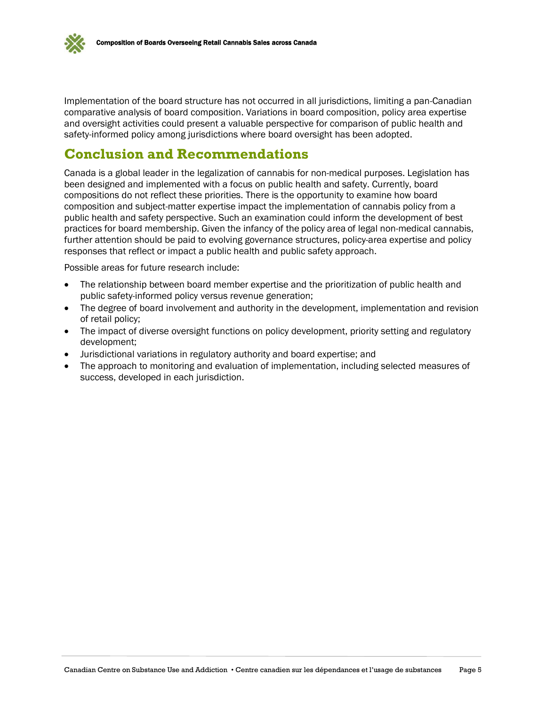

Implementation of the board structure has not occurred in all jurisdictions, limiting a pan-Canadian comparative analysis of board composition. Variations in board composition, policy area expertise and oversight activities could present a valuable perspective for comparison of public health and safety-informed policy among jurisdictions where board oversight has been adopted.

# **Conclusion and Recommendations**

Canada is a global leader in the legalization of cannabis for non-medical purposes. Legislation has been designed and implemented with a focus on public health and safety. Currently, board compositions do not reflect these priorities. There is the opportunity to examine how board composition and subject-matter expertise impact the implementation of cannabis policy from a public health and safety perspective. Such an examination could inform the development of best practices for board membership. Given the infancy of the policy area of legal non-medical cannabis, further attention should be paid to evolving governance structures, policy-area expertise and policy responses that reflect or impact a public health and public safety approach.

Possible areas for future research include:

- The relationship between board member expertise and the prioritization of public health and public safety-informed policy versus revenue generation;
- The degree of board involvement and authority in the development, implementation and revision of retail policy;
- The impact of diverse oversight functions on policy development, priority setting and regulatory development;
- Jurisdictional variations in regulatory authority and board expertise; and
- The approach to monitoring and evaluation of implementation, including selected measures of success, developed in each jurisdiction.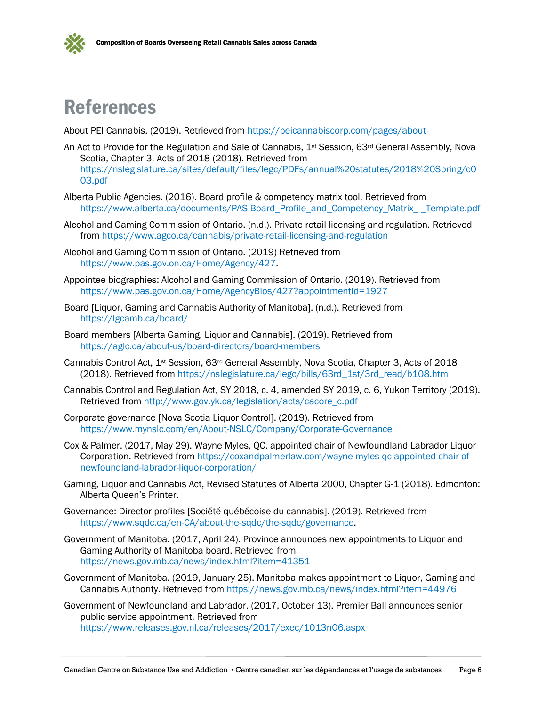



# References

About PEI Cannabis. (2019). Retrieved from<https://peicannabiscorp.com/pages/about>

- An Act to Provide for the Regulation and Sale of Cannabis, 1<sup>st</sup> Session, 63<sup>rd</sup> General Assembly, Nova Scotia, Chapter 3, Acts of 2018 (2018). Retrieved from [https://nslegislature.ca/sites/default/files/legc/PDFs/annual%20statutes/2018%20Spring/c0](https://nslegislature.ca/sites/default/files/legc/PDFs/annual%20statutes/2018%20Spring/c003.pdf) [03.pdf](https://nslegislature.ca/sites/default/files/legc/PDFs/annual%20statutes/2018%20Spring/c003.pdf)
- Alberta Public Agencies. (2016). Board profile & competency matrix tool. Retrieved from [https://www.alberta.ca/documents/PAS-Board\\_Profile\\_and\\_Competency\\_Matrix\\_-\\_Template.pdf](https://www.alberta.ca/documents/PAS-Board_Profile_and_Competency_Matrix_-_Template.pdf)
- Alcohol and Gaming Commission of Ontario. (n.d.). Private retail licensing and regulation. Retrieved from<https://www.agco.ca/cannabis/private-retail-licensing-and-regulation>
- Alcohol and Gaming Commission of Ontario. (2019) Retrieved from [https://www.pas.gov.on.ca/Home/Agency/427.](https://www.pas.gov.on.ca/Home/Agency/427)
- Appointee biographies: Alcohol and Gaming Commission of Ontario. (2019). Retrieved from <https://www.pas.gov.on.ca/Home/AgencyBios/427?appointmentId=1927>
- Board [Liquor, Gaming and Cannabis Authority of Manitoba]. (n.d.). Retrieved from <https://lgcamb.ca/board/>
- Board members [Alberta Gaming, Liquor and Cannabis]. (2019). Retrieved from <https://aglc.ca/about-us/board-directors/board-members>
- Cannabis Control Act, 1st Session, 63rd General Assembly, Nova Scotia, Chapter 3, Acts of 2018 (2018). Retrieved from [https://nslegislature.ca/legc/bills/63rd\\_1st/3rd\\_read/b108.htm](https://nslegislature.ca/legc/bills/63rd_1st/3rd_read/b108.htm)
- Cannabis Control and Regulation Act, SY 2018, c. 4, amended SY 2019, c. 6, Yukon Territory (2019). Retrieved from [http://www.gov.yk.ca/legislation/acts/cacore\\_c.pdf](http://www.gov.yk.ca/legislation/acts/cacore_c.pdf)
- Corporate governance [Nova Scotia Liquor Control]. (2019). Retrieved from <https://www.mynslc.com/en/About-NSLC/Company/Corporate-Governance>
- Cox & Palmer. (2017, May 29). Wayne Myles, QC, appointed chair of Newfoundland Labrador Liquor Corporation. Retrieved from [https://coxandpalmerlaw.com/wayne-myles-qc-appointed-chair-of](https://coxandpalmerlaw.com/wayne-myles-qc-appointed-chair-of-newfoundland-labrador-liquor-corporation/)[newfoundland-labrador-liquor-corporation/](https://coxandpalmerlaw.com/wayne-myles-qc-appointed-chair-of-newfoundland-labrador-liquor-corporation/)
- Gaming, Liquor and Cannabis Act, Revised Statutes of Alberta 2000, Chapter G-1 (2018). Edmonton: Alberta Queen's Printer.
- Governance: Director profiles [Société québécoise du cannabis]. (2019). Retrieved from [https://www.sqdc.ca/en-CA/about-the-sqdc/the-sqdc/governance.](https://www.sqdc.ca/en-CA/about-the-sqdc/the-sqdc/governance)
- Government of Manitoba. (2017, April 24). Province announces new appointments to Liquor and Gaming Authority of Manitoba board. Retrieved from <https://news.gov.mb.ca/news/index.html?item=41351>
- Government of Manitoba. (2019, January 25). Manitoba makes appointment to Liquor, Gaming and Cannabis Authority. Retrieved from<https://news.gov.mb.ca/news/index.html?item=44976>
- Government of Newfoundland and Labrador. (2017, October 13). Premier Ball announces senior public service appointment. Retrieved from <https://www.releases.gov.nl.ca/releases/2017/exec/1013n06.aspx>